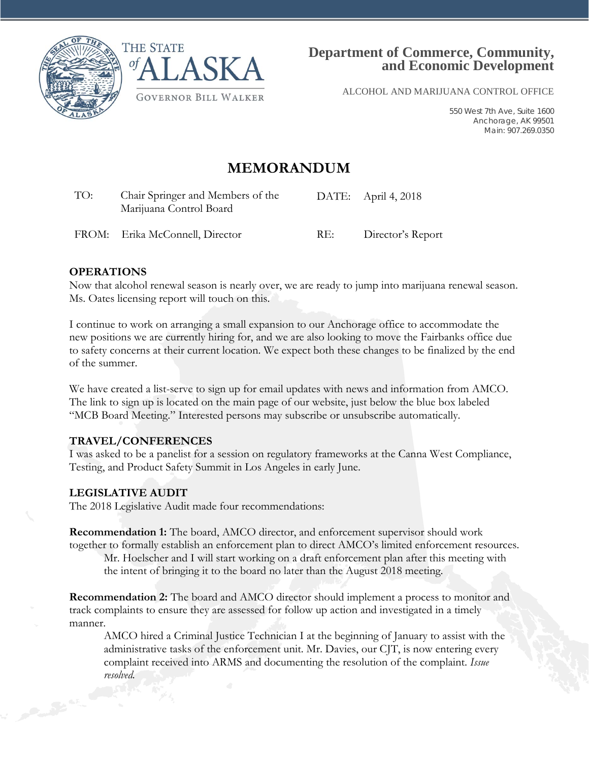



ALCOHOL AND MARIJUANA CONTROL OFFICE

550 West 7th Ave, Suite 1600 Anchorage, AK 99501 Main: 907.269.0350

## **MEMORANDUM**

| TO:<br>Chair Springer and Members of the<br>Marijuana Control Board |                                 |     | DATE: April 4, 2018 |  |
|---------------------------------------------------------------------|---------------------------------|-----|---------------------|--|
|                                                                     | FROM: Erika McConnell, Director | RE: | Director's Report   |  |

#### **OPERATIONS**

Now that alcohol renewal season is nearly over, we are ready to jump into marijuana renewal season. Ms. Oates licensing report will touch on this.

I continue to work on arranging a small expansion to our Anchorage office to accommodate the new positions we are currently hiring for, and we are also looking to move the Fairbanks office due to safety concerns at their current location. We expect both these changes to be finalized by the end of the summer.

We have created a list-serve to sign up for email updates with news and information from AMCO. The link to sign up is located on the main page of our website, just below the blue box labeled "MCB Board Meeting." Interested persons may subscribe or unsubscribe automatically.

#### **TRAVEL/CONFERENCES**

I was asked to be a panelist for a session on regulatory frameworks at the Canna West Compliance, Testing, and Product Safety Summit in Los Angeles in early June.

#### **LEGISLATIVE AUDIT**

The 2018 Legislative Audit made four recommendations:

**Recommendation 1:** The board, AMCO director, and enforcement supervisor should work together to formally establish an enforcement plan to direct AMCO's limited enforcement resources.

Mr. Hoelscher and I will start working on a draft enforcement plan after this meeting with the intent of bringing it to the board no later than the August 2018 meeting.

**Recommendation 2:** The board and AMCO director should implement a process to monitor and track complaints to ensure they are assessed for follow up action and investigated in a timely manner.

AMCO hired a Criminal Justice Technician I at the beginning of January to assist with the administrative tasks of the enforcement unit. Mr. Davies, our CJT, is now entering every complaint received into ARMS and documenting the resolution of the complaint. *Issue resolved.*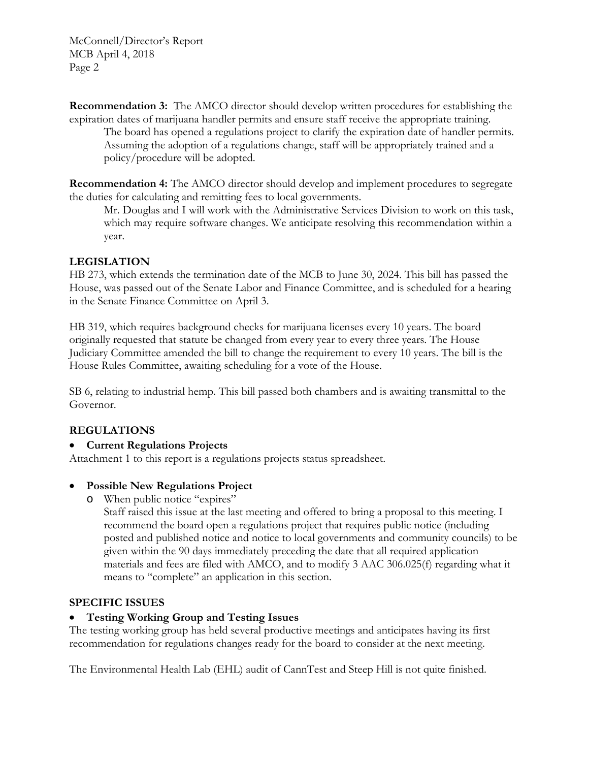McConnell/Director's Report MCB April 4, 2018 Page 2

**Recommendation 3:** The AMCO director should develop written procedures for establishing the expiration dates of marijuana handler permits and ensure staff receive the appropriate training.

The board has opened a regulations project to clarify the expiration date of handler permits. Assuming the adoption of a regulations change, staff will be appropriately trained and a policy/procedure will be adopted.

**Recommendation 4:** The AMCO director should develop and implement procedures to segregate the duties for calculating and remitting fees to local governments.

Mr. Douglas and I will work with the Administrative Services Division to work on this task, which may require software changes. We anticipate resolving this recommendation within a year.

### **LEGISLATION**

HB 273, which extends the termination date of the MCB to June 30, 2024. This bill has passed the House, was passed out of the Senate Labor and Finance Committee, and is scheduled for a hearing in the Senate Finance Committee on April 3.

HB 319, which requires background checks for marijuana licenses every 10 years. The board originally requested that statute be changed from every year to every three years. The House Judiciary Committee amended the bill to change the requirement to every 10 years. The bill is the House Rules Committee, awaiting scheduling for a vote of the House.

SB 6, relating to industrial hemp. This bill passed both chambers and is awaiting transmittal to the Governor.

### **REGULATIONS**

### • **Current Regulations Projects**

Attachment 1 to this report is a regulations projects status spreadsheet.

#### • **Possible New Regulations Project**

o When public notice "expires"

Staff raised this issue at the last meeting and offered to bring a proposal to this meeting. I recommend the board open a regulations project that requires public notice (including posted and published notice and notice to local governments and community councils) to be given within the 90 days immediately preceding the date that all required application materials and fees are filed with AMCO, and to modify 3 AAC 306.025(f) regarding what it means to "complete" an application in this section.

#### **SPECIFIC ISSUES**

### • **Testing Working Group and Testing Issues**

The testing working group has held several productive meetings and anticipates having its first recommendation for regulations changes ready for the board to consider at the next meeting.

The Environmental Health Lab (EHL) audit of CannTest and Steep Hill is not quite finished.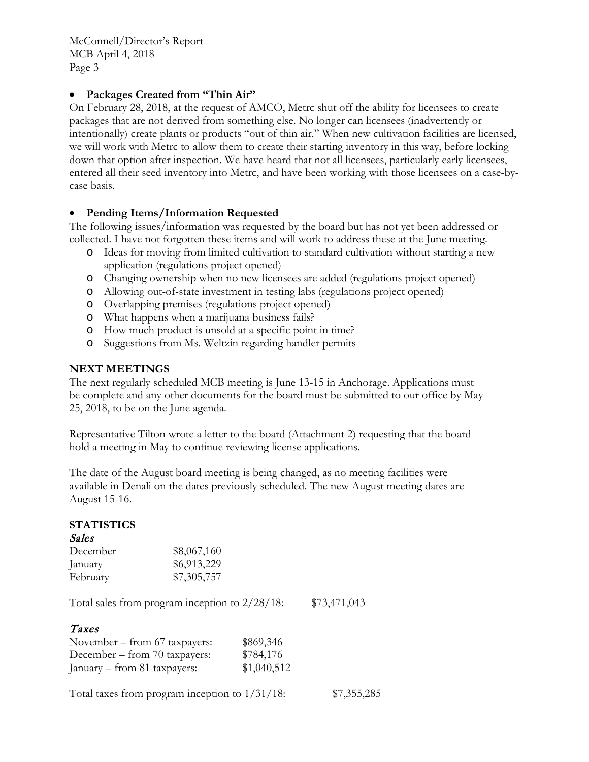McConnell/Director's Report MCB April 4, 2018 Page 3

#### • **Packages Created from "Thin Air"**

On February 28, 2018, at the request of AMCO, Metrc shut off the ability for licensees to create packages that are not derived from something else. No longer can licensees (inadvertently or intentionally) create plants or products "out of thin air." When new cultivation facilities are licensed, we will work with Metrc to allow them to create their starting inventory in this way, before locking down that option after inspection. We have heard that not all licensees, particularly early licensees, entered all their seed inventory into Metrc, and have been working with those licensees on a case-bycase basis.

#### • **Pending Items/Information Requested**

The following issues/information was requested by the board but has not yet been addressed or collected. I have not forgotten these items and will work to address these at the June meeting.

- o Ideas for moving from limited cultivation to standard cultivation without starting a new application (regulations project opened)
- o Changing ownership when no new licensees are added (regulations project opened)
- o Allowing out-of-state investment in testing labs (regulations project opened)
- o Overlapping premises (regulations project opened)
- o What happens when a marijuana business fails?
- o How much product is unsold at a specific point in time?
- o Suggestions from Ms. Weltzin regarding handler permits

#### **NEXT MEETINGS**

The next regularly scheduled MCB meeting is June 13-15 in Anchorage. Applications must be complete and any other documents for the board must be submitted to our office by May 25, 2018, to be on the June agenda.

Representative Tilton wrote a letter to the board (Attachment 2) requesting that the board hold a meeting in May to continue reviewing license applications.

The date of the August board meeting is being changed, as no meeting facilities were available in Denali on the dates previously scheduled. The new August meeting dates are August 15-16.

#### **STATISTICS**

| Sales    |             |
|----------|-------------|
| December | \$8,067,160 |
| January  | \$6,913,229 |
| February | \$7,305,757 |

Total sales from program inception to 2/28/18: \$73,471,043

### Taxes

| November – from 67 taxpayers:                     | \$869,346   |             |
|---------------------------------------------------|-------------|-------------|
| December – from 70 taxpayers:                     | \$784,176   |             |
| January – from 81 taxpayers:                      | \$1,040,512 |             |
| Total taxes from program inception to $1/31/18$ : |             | \$7,355,285 |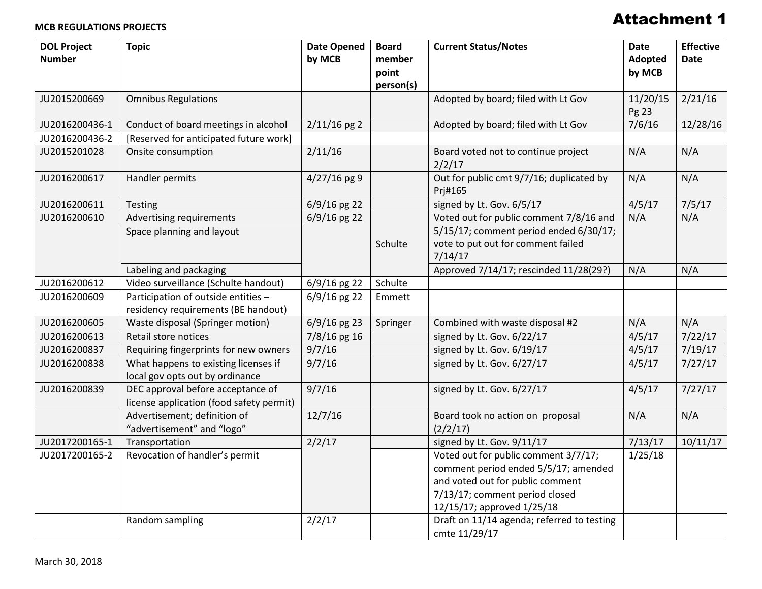#### **MCB REGULATIONS PROJECTS**

# Attachment 1

| <b>DOL Project</b><br><b>Number</b> | <b>Topic</b>                                                                  | <b>Date Opened</b><br>by MCB | <b>Board</b><br>member<br>point | <b>Current Status/Notes</b>                                                                                                                                                      | <b>Date</b><br>Adopted<br>by MCB | <b>Effective</b><br><b>Date</b> |
|-------------------------------------|-------------------------------------------------------------------------------|------------------------------|---------------------------------|----------------------------------------------------------------------------------------------------------------------------------------------------------------------------------|----------------------------------|---------------------------------|
| JU2015200669                        | <b>Omnibus Regulations</b>                                                    |                              | person(s)                       | Adopted by board; filed with Lt Gov                                                                                                                                              | 11/20/15<br>Pg 23                | 2/21/16                         |
| JU2016200436-1                      | Conduct of board meetings in alcohol                                          | $2/11/16$ pg 2               |                                 | Adopted by board; filed with Lt Gov                                                                                                                                              | 7/6/16                           | 12/28/16                        |
| JU2016200436-2                      | [Reserved for anticipated future work]                                        |                              |                                 |                                                                                                                                                                                  |                                  |                                 |
| JU2015201028                        | Onsite consumption                                                            | 2/11/16                      |                                 | Board voted not to continue project<br>2/2/17                                                                                                                                    | N/A                              | N/A                             |
| JU2016200617                        | Handler permits                                                               | $4/27/16$ pg 9               |                                 | Out for public cmt 9/7/16; duplicated by<br>Prj#165                                                                                                                              | N/A                              | N/A                             |
| JU2016200611                        | Testing                                                                       | 6/9/16 pg 22                 |                                 | signed by Lt. Gov. 6/5/17                                                                                                                                                        | 4/5/17                           | 7/5/17                          |
| JU2016200610                        | Advertising requirements<br>Space planning and layout                         | 6/9/16 pg 22                 | Schulte                         | Voted out for public comment 7/8/16 and<br>5/15/17; comment period ended 6/30/17;<br>vote to put out for comment failed<br>7/14/17                                               | N/A                              | N/A                             |
|                                     | Labeling and packaging                                                        |                              |                                 | Approved 7/14/17; rescinded 11/28(29?)                                                                                                                                           | N/A                              | N/A                             |
| JU2016200612                        | Video surveillance (Schulte handout)                                          | 6/9/16 pg 22                 | Schulte                         |                                                                                                                                                                                  |                                  |                                 |
| JU2016200609                        | Participation of outside entities -<br>residency requirements (BE handout)    | 6/9/16 pg 22                 | Emmett                          |                                                                                                                                                                                  |                                  |                                 |
| JU2016200605                        | Waste disposal (Springer motion)                                              | 6/9/16 pg 23                 | Springer                        | Combined with waste disposal #2                                                                                                                                                  | N/A                              | N/A                             |
| JU2016200613                        | Retail store notices                                                          | $\frac{1}{2}/8/16$ pg 16     |                                 | signed by Lt. Gov. 6/22/17                                                                                                                                                       | 4/5/17                           | $\frac{1}{7}/22/17$             |
| JU2016200837                        | Requiring fingerprints for new owners                                         | 9/7/16                       |                                 | signed by Lt. Gov. 6/19/17                                                                                                                                                       | 4/5/17                           | 7/19/17                         |
| JU2016200838                        | What happens to existing licenses if<br>local gov opts out by ordinance       | 9/7/16                       |                                 | signed by Lt. Gov. 6/27/17                                                                                                                                                       | 4/5/17                           | 7/27/17                         |
| JU2016200839                        | DEC approval before acceptance of<br>license application (food safety permit) | 9/7/16                       |                                 | signed by Lt. Gov. 6/27/17                                                                                                                                                       | 4/5/17                           | 7/27/17                         |
|                                     | Advertisement; definition of<br>"advertisement" and "logo"                    | 12/7/16                      |                                 | Board took no action on proposal<br>(2/2/17)                                                                                                                                     | N/A                              | N/A                             |
| JU2017200165-1                      | Transportation                                                                | 2/2/17                       |                                 | signed by Lt. Gov. 9/11/17                                                                                                                                                       | 7/13/17                          | 10/11/17                        |
| JU2017200165-2                      | Revocation of handler's permit                                                |                              |                                 | Voted out for public comment 3/7/17;<br>comment period ended 5/5/17; amended<br>and voted out for public comment<br>7/13/17; comment period closed<br>12/15/17; approved 1/25/18 | 1/25/18                          |                                 |
|                                     | Random sampling                                                               | 2/2/17                       |                                 | Draft on 11/14 agenda; referred to testing<br>cmte 11/29/17                                                                                                                      |                                  |                                 |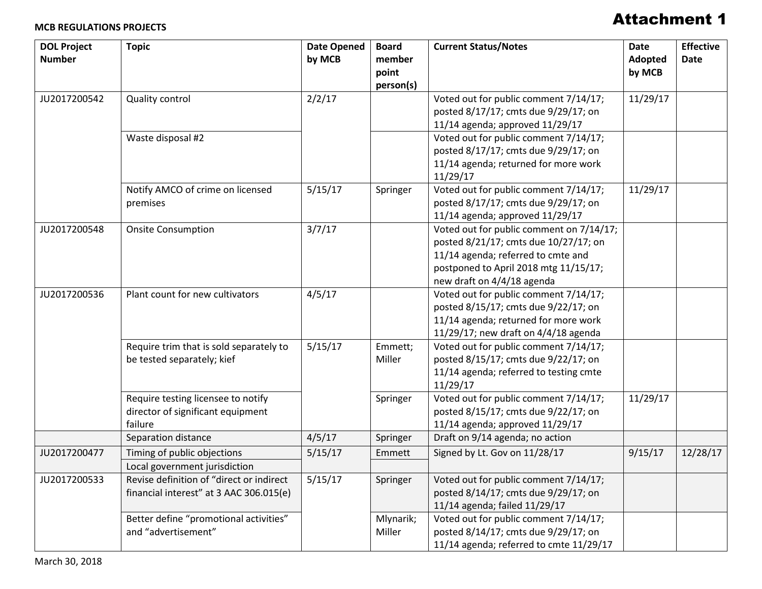#### **MCB REGULATIONS PROJECTS**

# Attachment 1

| <b>DOL Project</b><br><b>Number</b> | <b>Topic</b>                                                                        | <b>Date Opened</b><br>by MCB | <b>Board</b><br>member<br>point<br>person(s) | <b>Current Status/Notes</b>                                                                                                                                                                    | <b>Date</b><br>Adopted<br>by MCB | <b>Effective</b><br><b>Date</b> |
|-------------------------------------|-------------------------------------------------------------------------------------|------------------------------|----------------------------------------------|------------------------------------------------------------------------------------------------------------------------------------------------------------------------------------------------|----------------------------------|---------------------------------|
| JU2017200542                        | <b>Quality control</b>                                                              | 2/2/17                       |                                              | Voted out for public comment 7/14/17;<br>posted 8/17/17; cmts due 9/29/17; on<br>11/14 agenda; approved 11/29/17                                                                               | 11/29/17                         |                                 |
|                                     | Waste disposal #2                                                                   |                              |                                              | Voted out for public comment 7/14/17;<br>posted 8/17/17; cmts due 9/29/17; on<br>11/14 agenda; returned for more work<br>11/29/17                                                              |                                  |                                 |
|                                     | Notify AMCO of crime on licensed<br>premises                                        | 5/15/17                      | Springer                                     | Voted out for public comment 7/14/17;<br>posted 8/17/17; cmts due 9/29/17; on<br>11/14 agenda; approved 11/29/17                                                                               | 11/29/17                         |                                 |
| JU2017200548                        | <b>Onsite Consumption</b>                                                           | 3/7/17                       |                                              | Voted out for public comment on 7/14/17;<br>posted 8/21/17; cmts due 10/27/17; on<br>11/14 agenda; referred to cmte and<br>postponed to April 2018 mtg 11/15/17;<br>new draft on 4/4/18 agenda |                                  |                                 |
| JU2017200536                        | Plant count for new cultivators                                                     | 4/5/17                       |                                              | Voted out for public comment 7/14/17;<br>posted 8/15/17; cmts due 9/22/17; on<br>11/14 agenda; returned for more work<br>11/29/17; new draft on 4/4/18 agenda                                  |                                  |                                 |
|                                     | Require trim that is sold separately to<br>be tested separately; kief               | 5/15/17                      | Emmett;<br>Miller                            | Voted out for public comment 7/14/17;<br>posted 8/15/17; cmts due 9/22/17; on<br>11/14 agenda; referred to testing cmte<br>11/29/17                                                            |                                  |                                 |
|                                     | Require testing licensee to notify<br>director of significant equipment<br>failure  |                              | Springer                                     | Voted out for public comment 7/14/17;<br>posted 8/15/17; cmts due 9/22/17; on<br>11/14 agenda; approved 11/29/17                                                                               | 11/29/17                         |                                 |
|                                     | Separation distance                                                                 | 4/5/17                       | Springer                                     | Draft on 9/14 agenda; no action                                                                                                                                                                |                                  |                                 |
| JU2017200477                        | Timing of public objections<br>Local government jurisdiction                        | 5/15/17                      | Emmett                                       | Signed by Lt. Gov on 11/28/17                                                                                                                                                                  | 9/15/17                          | 12/28/17                        |
| JU2017200533                        | Revise definition of "direct or indirect<br>financial interest" at 3 AAC 306.015(e) | 5/15/17                      | Springer                                     | Voted out for public comment 7/14/17;<br>posted 8/14/17; cmts due 9/29/17; on<br>11/14 agenda; failed 11/29/17                                                                                 |                                  |                                 |
|                                     | Better define "promotional activities"<br>and "advertisement"                       |                              | Mlynarik;<br>Miller                          | Voted out for public comment 7/14/17;<br>posted 8/14/17; cmts due 9/29/17; on<br>11/14 agenda; referred to cmte 11/29/17                                                                       |                                  |                                 |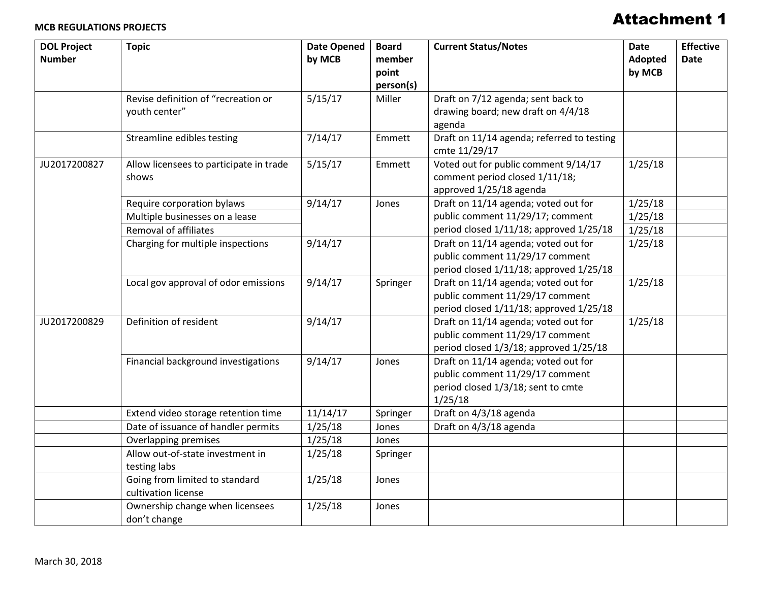# Attachment 1

| <b>DOL Project</b><br><b>Number</b> | <b>Topic</b>                                          | <b>Date Opened</b><br>by MCB | <b>Board</b><br>member<br>point<br>person(s) | <b>Current Status/Notes</b>                                                                                              | <b>Date</b><br>Adopted<br>by MCB | <b>Effective</b><br><b>Date</b> |
|-------------------------------------|-------------------------------------------------------|------------------------------|----------------------------------------------|--------------------------------------------------------------------------------------------------------------------------|----------------------------------|---------------------------------|
|                                     | Revise definition of "recreation or<br>youth center"  | 5/15/17                      | Miller                                       | Draft on 7/12 agenda; sent back to<br>drawing board; new draft on 4/4/18<br>agenda                                       |                                  |                                 |
|                                     | Streamline edibles testing                            | 7/14/17                      | Emmett                                       | Draft on 11/14 agenda; referred to testing<br>cmte 11/29/17                                                              |                                  |                                 |
| JU2017200827                        | Allow licensees to participate in trade<br>shows      | 5/15/17                      | Emmett                                       | Voted out for public comment 9/14/17<br>comment period closed 1/11/18;<br>approved 1/25/18 agenda                        | 1/25/18                          |                                 |
|                                     | Require corporation bylaws                            | 9/14/17                      | Jones                                        | Draft on 11/14 agenda; voted out for                                                                                     | 1/25/18                          |                                 |
|                                     | Multiple businesses on a lease                        |                              |                                              | public comment 11/29/17; comment<br>period closed 1/11/18; approved 1/25/18                                              | 1/25/18                          |                                 |
|                                     | <b>Removal of affiliates</b>                          |                              |                                              |                                                                                                                          | 1/25/18                          |                                 |
|                                     | Charging for multiple inspections                     | 9/14/17                      |                                              | Draft on 11/14 agenda; voted out for<br>public comment 11/29/17 comment<br>period closed 1/11/18; approved 1/25/18       | 1/25/18                          |                                 |
|                                     | Local gov approval of odor emissions                  | 9/14/17                      | Springer                                     | Draft on 11/14 agenda; voted out for<br>public comment 11/29/17 comment<br>period closed 1/11/18; approved 1/25/18       | 1/25/18                          |                                 |
| JU2017200829                        | Definition of resident                                | 9/14/17                      |                                              | Draft on 11/14 agenda; voted out for<br>public comment 11/29/17 comment<br>period closed 1/3/18; approved 1/25/18        | 1/25/18                          |                                 |
|                                     | Financial background investigations                   | 9/14/17                      | Jones                                        | Draft on 11/14 agenda; voted out for<br>public comment 11/29/17 comment<br>period closed 1/3/18; sent to cmte<br>1/25/18 |                                  |                                 |
|                                     | Extend video storage retention time                   | 11/14/17                     | Springer                                     | Draft on 4/3/18 agenda                                                                                                   |                                  |                                 |
|                                     | Date of issuance of handler permits                   | 1/25/18                      | Jones                                        | Draft on 4/3/18 agenda                                                                                                   |                                  |                                 |
|                                     | Overlapping premises                                  | 1/25/18                      | Jones                                        |                                                                                                                          |                                  |                                 |
|                                     | Allow out-of-state investment in<br>testing labs      | 1/25/18                      | Springer                                     |                                                                                                                          |                                  |                                 |
|                                     | Going from limited to standard<br>cultivation license | 1/25/18                      | Jones                                        |                                                                                                                          |                                  |                                 |
|                                     | Ownership change when licensees<br>don't change       | 1/25/18                      | Jones                                        |                                                                                                                          |                                  |                                 |